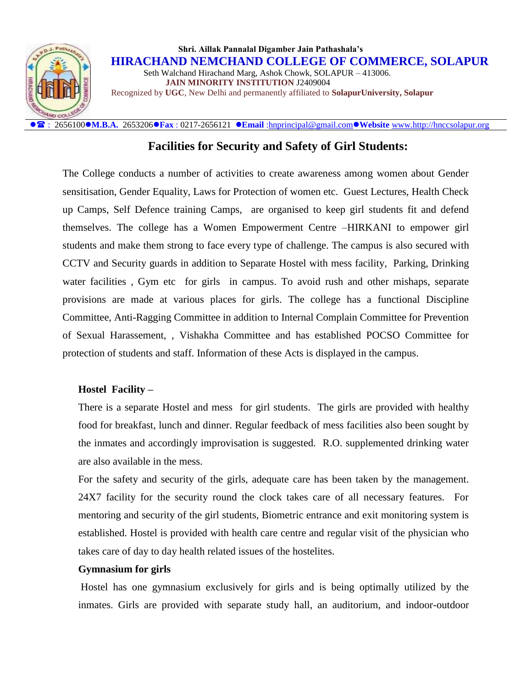

: 2656100**M.B.A.** 2653206**Fax** : 0217-2656121 **Email** [:hnprincipal@gmail.com](mailto:hnprincipal@gmail.com)**Website** [www.http://hnccsolapur.org](http://www.http/hnccsolapur.org)

## **Facilities for Security and Safety of Girl Students:**

The College conducts a number of activities to create awareness among women about Gender sensitisation, Gender Equality, Laws for Protection of women etc. Guest Lectures, Health Check up Camps, Self Defence training Camps, are organised to keep girl students fit and defend themselves. The college has a Women Empowerment Centre –HIRKANI to empower girl students and make them strong to face every type of challenge. The campus is also secured with CCTV and Security guards in addition to Separate Hostel with mess facility, Parking, Drinking water facilities, Gym etc for girls in campus. To avoid rush and other mishaps, separate provisions are made at various places for girls. The college has a functional Discipline Committee, Anti-Ragging Committee in addition to Internal Complain Committee for Prevention of Sexual Harassement, , Vishakha Committee and has established POCSO Committee for protection of students and staff. Information of these Acts is displayed in the campus.

### **Hostel Facility –**

There is a separate Hostel and mess for girl students. The girls are provided with healthy food for breakfast, lunch and dinner. Regular feedback of mess facilities also been sought by the inmates and accordingly improvisation is suggested. R.O. supplemented drinking water are also available in the mess.

For the safety and security of the girls, adequate care has been taken by the management. 24X7 facility for the security round the clock takes care of all necessary features. For mentoring and security of the girl students, Biometric entrance and exit monitoring system is established. Hostel is provided with health care centre and regular visit of the physician who takes care of day to day health related issues of the hostelites.

#### **Gymnasium for girls**

Hostel has one gymnasium exclusively for girls and is being optimally utilized by the inmates. Girls are provided with separate study hall, an auditorium, and indoor-outdoor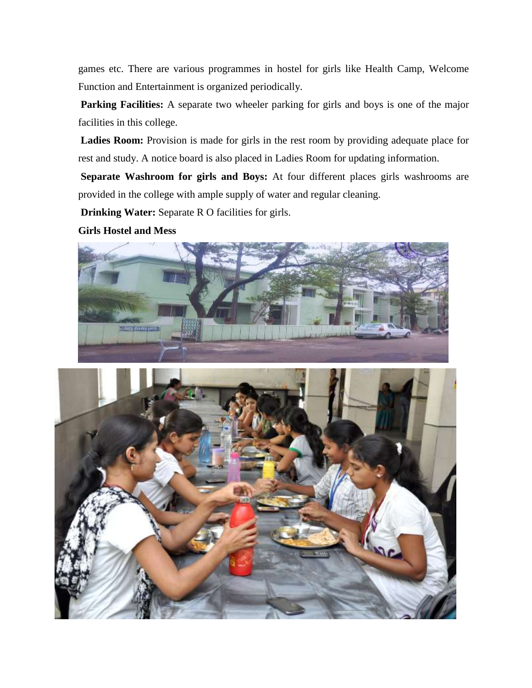games etc. There are various programmes in hostel for girls like Health Camp, Welcome Function and Entertainment is organized periodically.

**Parking Facilities:** A separate two wheeler parking for girls and boys is one of the major facilities in this college.

Ladies Room: Provision is made for girls in the rest room by providing adequate place for rest and study. A notice board is also placed in Ladies Room for updating information.

**Separate Washroom for girls and Boys:** At four different places girls washrooms are provided in the college with ample supply of water and regular cleaning.

**Drinking Water:** Separate R O facilities for girls.

#### **Girls Hostel and Mess**



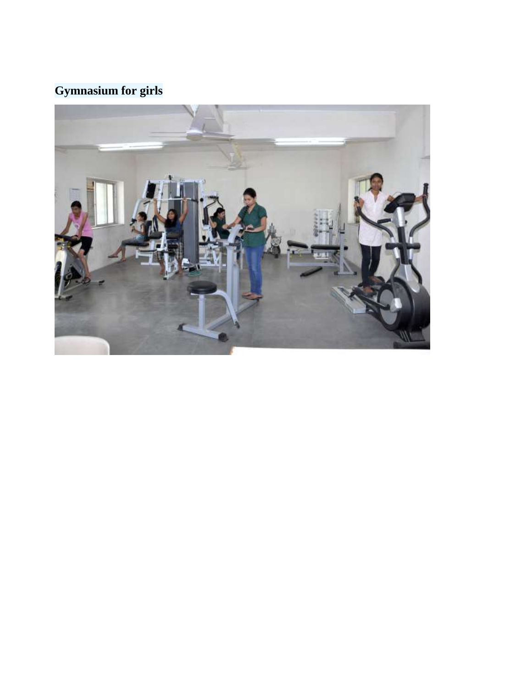# **Gymnasium for girls**